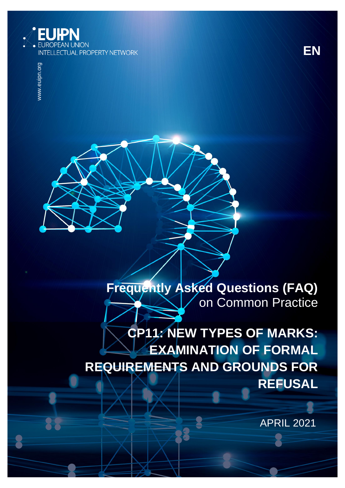

www.euipn.org www.euipn.org

22

# **Frequently Asked Questions (FAQ)**  on Common Practice

# **CP11: NEW TYPES OF MARKS: EXAMINATION OF FORMAL REQUIREMENTS AND GROUNDS FOR REFUSAL**

APRIL 2021

**EN**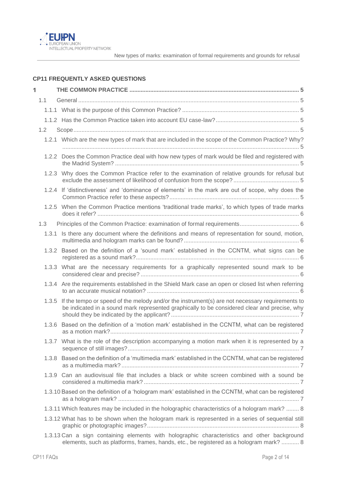

# **CP11 FREQUENTLY ASKED QUESTIONS**

| 1 |       |                                                                                                                                                                                                |  |
|---|-------|------------------------------------------------------------------------------------------------------------------------------------------------------------------------------------------------|--|
|   | 1.1   |                                                                                                                                                                                                |  |
|   |       |                                                                                                                                                                                                |  |
|   |       |                                                                                                                                                                                                |  |
|   | 1.2   |                                                                                                                                                                                                |  |
|   |       | 1.2.1 Which are the new types of mark that are included in the scope of the Common Practice? Why?                                                                                              |  |
|   |       | 1.2.2 Does the Common Practice deal with how new types of mark would be filed and registered with                                                                                              |  |
|   | 1.2.3 | Why does the Common Practice refer to the examination of relative grounds for refusal but                                                                                                      |  |
|   |       | 1.2.4 If 'distinctiveness' and 'dominance of elements' in the mark are out of scope, why does the                                                                                              |  |
|   |       | 1.2.5 When the Common Practice mentions 'traditional trade marks', to which types of trade marks                                                                                               |  |
|   | 1.3   |                                                                                                                                                                                                |  |
|   | 1.3.1 | Is there any document where the definitions and means of representation for sound, motion,                                                                                                     |  |
|   | 1.3.2 | Based on the definition of a 'sound mark' established in the CCNTM, what signs can be                                                                                                          |  |
|   |       | 1.3.3 What are the necessary requirements for a graphically represented sound mark to be                                                                                                       |  |
|   |       | 1.3.4 Are the requirements established in the Shield Mark case an open or closed list when referring                                                                                           |  |
|   | 1.3.5 | If the tempo or speed of the melody and/or the instrument(s) are not necessary requirements to<br>be indicated in a sound mark represented graphically to be considered clear and precise, why |  |
|   | 1.3.6 | Based on the definition of a 'motion mark' established in the CCNTM, what can be registered                                                                                                    |  |
|   |       | 1.3.7 What is the role of the description accompanying a motion mark when it is represented by a                                                                                               |  |
|   | 1.3.8 | Based on the definition of a 'multimedia mark' established in the CCNTM, what can be registered                                                                                                |  |
|   |       | 1.3.9 Can an audiovisual file that includes a black or white screen combined with a sound be                                                                                                   |  |
|   |       | 1.3.10 Based on the definition of a 'hologram mark' established in the CCNTM, what can be registered                                                                                           |  |
|   |       | 1.3.11 Which features may be included in the holographic characteristics of a hologram mark?  8                                                                                                |  |
|   |       | 1.3.12 What has to be shown when the hologram mark is represented in a series of sequential still                                                                                              |  |
|   |       | 1.3.13 Can a sign containing elements with holographic characteristics and other background<br>elements, such as platforms, frames, hands, etc., be registered as a hologram mark?  8          |  |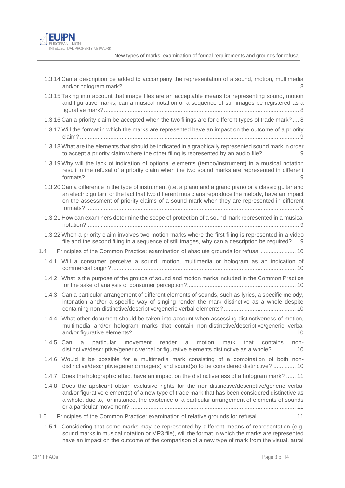

|           | 1.3.14 Can a description be added to accompany the representation of a sound, motion, multimedia                                                                                                                                                                                                               |
|-----------|----------------------------------------------------------------------------------------------------------------------------------------------------------------------------------------------------------------------------------------------------------------------------------------------------------------|
|           | 1.3.15 Taking into account that image files are an acceptable means for representing sound, motion<br>and figurative marks, can a musical notation or a sequence of still images be registered as a                                                                                                            |
|           | 1.3.16 Can a priority claim be accepted when the two filings are for different types of trade mark? 8                                                                                                                                                                                                          |
|           | 1.3.17 Will the format in which the marks are represented have an impact on the outcome of a priority                                                                                                                                                                                                          |
|           | 1.3.18 What are the elements that should be indicated in a graphically represented sound mark in order<br>to accept a priority claim where the other filing is represented by an audio file?  9                                                                                                                |
|           | 1.3.19 Why will the lack of indication of optional elements (tempo/instrument) in a musical notation<br>result in the refusal of a priority claim when the two sound marks are represented in different                                                                                                        |
|           | 1.3.20 Can a difference in the type of instrument (i.e. a piano and a grand piano or a classic guitar and<br>an electric guitar), or the fact that two different musicians reproduce the melody, have an impact<br>on the assessment of priority claims of a sound mark when they are represented in different |
|           | 1.3.21 How can examiners determine the scope of protection of a sound mark represented in a musical                                                                                                                                                                                                            |
|           | 1.3.22 When a priority claim involves two motion marks where the first filing is represented in a video<br>file and the second filing in a sequence of still images, why can a description be required?  9                                                                                                     |
| 1.4       | Principles of the Common Practice: examination of absolute grounds for refusal  10                                                                                                                                                                                                                             |
|           | 1.4.1 Will a consumer perceive a sound, motion, multimedia or hologram as an indication of                                                                                                                                                                                                                     |
|           | 1.4.2 What is the purpose of the groups of sound and motion marks included in the Common Practice                                                                                                                                                                                                              |
| 1.4.3     | Can a particular arrangement of different elements of sounds, such as lyrics, a specific melody,<br>intonation and/or a specific way of singing render the mark distinctive as a whole despite                                                                                                                 |
| 1.4.4     | What other document should be taken into account when assessing distinctiveness of motion,<br>multimedia and/or hologram marks that contain non-distinctive/descriptive/generic verbal                                                                                                                         |
| 1.4.5 Can | particular<br>movement render<br>motion<br>that<br>a<br>mark<br>contains<br>a<br>non-<br>distinctive/descriptive/generic verbal or figurative elements distinctive as a whole? 10                                                                                                                              |
|           | 1.4.6 Would it be possible for a multimedia mark consisting of a combination of both non-<br>distinctive/descriptive/generic image(s) and sound(s) to be considered distinctive?  10                                                                                                                           |
|           | 1.4.7 Does the holographic effect have an impact on the distinctiveness of a hologram mark?  11                                                                                                                                                                                                                |
|           | 1.4.8 Does the applicant obtain exclusive rights for the non-distinctive/descriptive/generic verbal<br>and/or figurative element(s) of a new type of trade mark that has been considered distinctive as<br>a whole, due to, for instance, the existence of a particular arrangement of elements of sounds      |
| 1.5       | Principles of the Common Practice: examination of relative grounds for refusal  11                                                                                                                                                                                                                             |
|           | 1.5.1 Considering that some marks may be represented by different means of representation (e.g.<br>sound marks in musical notation or MP3 file), will the format in which the marks are represented                                                                                                            |

[have an impact on the outcome of the comparison of a new type of mark from the visual, aural](#page-10-3)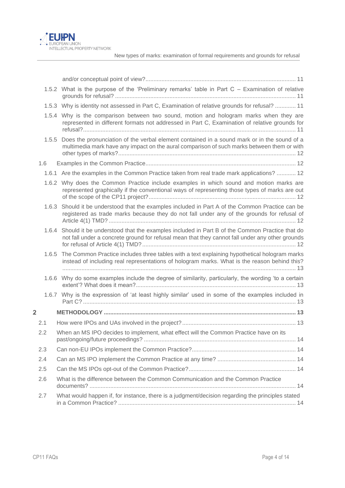

|                |       | 1.5.2 What is the purpose of the 'Preliminary remarks' table in Part C – Examination of relative                                                                                               |
|----------------|-------|------------------------------------------------------------------------------------------------------------------------------------------------------------------------------------------------|
|                |       | 1.5.3 Why is identity not assessed in Part C, Examination of relative grounds for refusal?  11                                                                                                 |
|                |       | 1.5.4 Why is the comparison between two sound, motion and hologram marks when they are<br>represented in different formats not addressed in Part C, Examination of relative grounds for        |
|                | 1.5.5 | Does the pronunciation of the verbal element contained in a sound mark or in the sound of a<br>multimedia mark have any impact on the aural comparison of such marks between them or with      |
| 1.6            |       |                                                                                                                                                                                                |
|                |       | 1.6.1 Are the examples in the Common Practice taken from real trade mark applications?  12                                                                                                     |
|                |       | 1.6.2 Why does the Common Practice include examples in which sound and motion marks are<br>represented graphically if the conventional ways of representing those types of marks are out       |
|                | 1.6.3 | Should it be understood that the examples included in Part A of the Common Practice can be<br>registered as trade marks because they do not fall under any of the grounds for refusal of       |
|                | 1.6.4 | Should it be understood that the examples included in Part B of the Common Practice that do<br>not fall under a concrete ground for refusal mean that they cannot fall under any other grounds |
|                | 1.6.5 | The Common Practice includes three tables with a text explaining hypothetical hologram marks<br>instead of including real representations of hologram marks. What is the reason behind this?   |
|                |       | 1.6.6 Why do some examples include the degree of similarity, particularly, the wording 'to a certain                                                                                           |
|                |       | 1.6.7 Why is the expression of 'at least highly similar' used in some of the examples included in                                                                                              |
| $\overline{2}$ |       |                                                                                                                                                                                                |
| 2.1            |       |                                                                                                                                                                                                |
| 2.2            |       | When an MS IPO decides to implement, what effect will the Common Practice have on its                                                                                                          |
| 2.3            |       |                                                                                                                                                                                                |
| 2.4            |       |                                                                                                                                                                                                |
| 2.5            |       |                                                                                                                                                                                                |
| 2.6            |       | What is the difference between the Common Communication and the Common Practice                                                                                                                |
| 2.7            |       | What would happen if, for instance, there is a judgment/decision regarding the principles stated                                                                                               |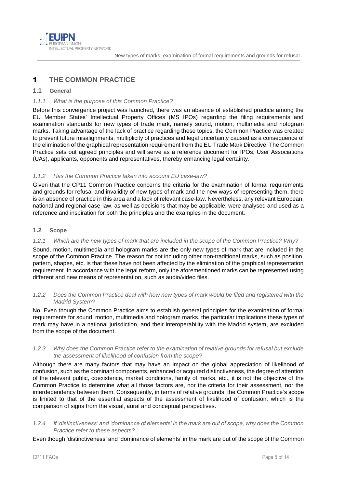

#### <span id="page-4-0"></span>**THE COMMON PRACTICE**  $\overline{\mathbf{1}}$

# <span id="page-4-1"></span>**1.1 General**

# <span id="page-4-2"></span>*1.1.1 What is the purpose of this Common Practice?*

Before this convergence project was launched, there was an absence of established practice among the EU Member States' Intellectual Property Offices (MS IPOs) regarding the filing requirements and examination standards for new types of trade mark, namely sound, motion, multimedia and hologram marks. Taking advantage of the lack of practice regarding these topics, the Common Practice was created to prevent future misalignments, multiplicity of practices and legal uncertainty caused as a consequence of the elimination of the graphical representation requirement from the EU Trade Mark Directive. The Common Practice sets out agreed principles and will serve as a reference document for IPOs, User Associations (UAs), applicants, opponents and representatives, thereby enhancing legal certainty.

# <span id="page-4-3"></span>*1.1.2 Has the Common Practice taken into account EU case-law?*

Given that the CP11 Common Practice concerns the criteria for the examination of formal requirements and grounds for refusal and invalidity of new types of mark and the new ways of representing them, there is an absence of practice in this area and a lack of relevant case-law. Nevertheless, any relevant European, national and regional case-law, as well as decisions that may be applicable, were analysed and used as a reference and inspiration for both the principles and the examples in the document.

# <span id="page-4-4"></span>**1.2 Scope**

### <span id="page-4-5"></span>*1.2.1 Which are the new types of mark that are included in the scope of the Common Practice? Why?*

Sound, motion, multimedia and hologram marks are the only new types of mark that are included in the scope of the Common Practice. The reason for not including other non-traditional marks, such as position, pattern, shapes, etc. is that these have not been affected by the elimination of the graphical representation requirement. In accordance with the legal reform, only the aforementioned marks can be represented using different and new means of representation, such as audio/video files.

### <span id="page-4-6"></span>*1.2.2 Does the Common Practice deal with how new types of mark would be filed and registered with the Madrid System?*

No. Even though the Common Practice aims to establish general principles for the examination of formal requirements for sound, motion, multimedia and hologram marks, the particular implications these types of mark may have in a national jurisdiction, and their interoperability with the Madrid system, are excluded from the scope of the document.

#### <span id="page-4-7"></span>*1.2.3 Why does the Common Practice refer to the examination of relative grounds for refusal but exclude the assessment of likelihood of confusion from the scope?*

Although there are many factors that may have an impact on the global appreciation of likelihood of confusion, such as the dominant components, enhanced or acquired distinctiveness, the degree of attention of the relevant public, coexistence, market conditions, family of marks, etc., it is not the objective of the Common Practice to determine what all those factors are, nor the criteria for their assessment, nor the interdependency between them. Consequently, in terms of relative grounds, the Common Practice's scope is limited to that of the essential aspects of the assessment of likelihood of confusion, which is the comparison of signs from the visual, aural and conceptual perspectives.

#### <span id="page-4-8"></span>*1.2.4 If 'distinctiveness' and 'dominance of elements' in the mark are out of scope, why does the Common Practice refer to these aspects?*

Even though 'distinctiveness' and 'dominance of elements' in the mark are out of the scope of the Common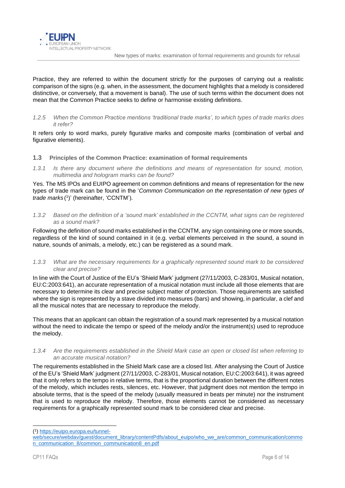Practice, they are referred to within the document strictly for the purposes of carrying out a realistic comparison of the signs (e.g. when, in the assessment, the document highlights that a melody is considered distinctive, or conversely, that a movement is banal). The use of such terms within the document does not mean that the Common Practice seeks to define or harmonise existing definitions.

### <span id="page-5-0"></span>*1.2.5 When the Common Practice mentions 'traditional trade marks', to which types of trade marks does it refer?*

It refers only to word marks, purely figurative marks and composite marks (combination of verbal and figurative elements).

- <span id="page-5-1"></span>**1.3 Principles of the Common Practice: examination of formal requirements**
- <span id="page-5-2"></span>*1.3.1 Is there any document where the definitions and means of representation for sound, motion, multimedia and hologram marks can be found?*

Yes. The MS IPOs and EUIPO agreement on common definitions and means of representation for the new types of trade mark can be found in the '*Common Communication on the representation of new types of*  trade marks<sup>(1)</sup>' (hereinafter, 'CCNTM').

<span id="page-5-3"></span>*1.3.2 Based on the definition of a 'sound mark' established in the CCNTM, what signs can be registered as a sound mark?*

Following the definition of sound marks established in the CCNTM, any sign containing one or more sounds, regardless of the kind of sound contained in it (e.g. verbal elements perceived in the sound, a sound in nature, sounds of animals, a melody, etc.) can be registered as a sound mark.

#### <span id="page-5-4"></span>*1.3.3 What are the necessary requirements for a graphically represented sound mark to be considered clear and precise?*

In line with the Court of Justice of the EU's 'Shield Mark' judgment (27/11/2003, C-283/01, Musical notation, EU:C:2003:641), an accurate representation of a musical notation must include all those elements that are necessary to determine its clear and precise subject matter of protection. Those requirements are satisfied where the sign is represented by a stave divided into measures (bars) and showing, in particular, a clef and all the musical notes that are necessary to reproduce the melody.

This means that an applicant can obtain the registration of a sound mark represented by a musical notation without the need to indicate the tempo or speed of the melody and/or the instrument(s) used to reproduce the melody.

<span id="page-5-5"></span>*1.3.4 Are the requirements established in the Shield Mark case an open or closed list when referring to an accurate musical notation?*

The requirements established in the Shield Mark case are a closed list. After analysing the Court of Justice of the EU's 'Shield Mark' judgment (27/11/2003, C-283/01, Musical notation, EU:C:2003:641), it was agreed that it only refers to the tempo in relative terms, that is the proportional duration between the different notes of the melody, which includes rests, silences, etc. However, that judgment does not mention the tempo in absolute terms, that is the speed of the melody (usually measured in beats per minute) nor the instrument that is used to reproduce the melody. Therefore, those elements cannot be considered as necessary requirements for a graphically represented sound mark to be considered clear and precise.

<sup>(</sup> 1 [\) https://euipo.europa.eu/tunnel-](https://euipo.europa.eu/tunnel-web/secure/webdav/guest/document_library/contentPdfs/about_euipo/who_we_are/common_communication/common_communication_8/common_communication8_en.pdf)

[web/secure/webdav/guest/document\\_library/contentPdfs/about\\_euipo/who\\_we\\_are/common\\_communication/commo](https://euipo.europa.eu/tunnel-web/secure/webdav/guest/document_library/contentPdfs/about_euipo/who_we_are/common_communication/common_communication_8/common_communication8_en.pdf) [n\\_communication\\_8/common\\_communication8\\_en.pdf](https://euipo.europa.eu/tunnel-web/secure/webdav/guest/document_library/contentPdfs/about_euipo/who_we_are/common_communication/common_communication_8/common_communication8_en.pdf)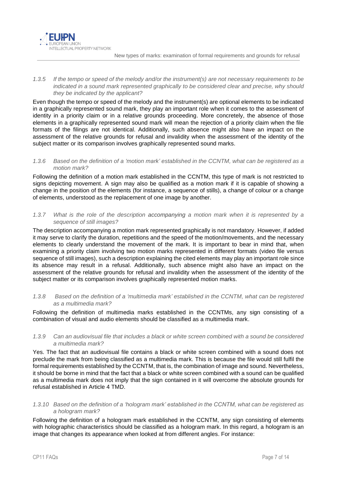

### <span id="page-6-0"></span>*1.3.5 If the tempo or speed of the melody and/or the instrument(s) are not necessary requirements to be indicated in a sound mark represented graphically to be considered clear and precise, why should they be indicated by the applicant?*

Even though the tempo or speed of the melody and the instrument(s) are optional elements to be indicated in a graphically represented sound mark, they play an important role when it comes to the assessment of identity in a priority claim or in a relative grounds proceeding. More concretely, the absence of those elements in a graphically represented sound mark will mean the rejection of a priority claim when the file formats of the filings are not identical. Additionally, such absence might also have an impact on the assessment of the relative grounds for refusal and invalidity when the assessment of the identity of the subject matter or its comparison involves graphically represented sound marks.

### <span id="page-6-1"></span>*1.3.6 Based on the definition of a 'motion mark' established in the CCNTM, what can be registered as a motion mark?*

Following the definition of a motion mark established in the CCNTM, this type of mark is not restricted to signs depicting movement. A sign may also be qualified as a motion mark if it is capable of showing a change in the position of the elements (for instance, a sequence of stills), a change of colour or a change of elements, understood as the replacement of one image by another.

# <span id="page-6-2"></span>*1.3.7 What is the role of the description accompanying a motion mark when it is represented by a sequence of still images?*

The description accompanying a motion mark represented graphically is not mandatory. However, if added it may serve to clarify the duration, repetitions and the speed of the motion/movements, and the necessary elements to clearly understand the movement of the mark. It is important to bear in mind that, when examining a priority claim involving two motion marks represented in different formats (video file versus sequence of still images), such a description explaining the cited elements may play an important role since its absence may result in a refusal. Additionally, such absence might also have an impact on the assessment of the relative grounds for refusal and invalidity when the assessment of the identity of the subject matter or its comparison involves graphically represented motion marks.

# <span id="page-6-3"></span>*1.3.8 Based on the definition of a 'multimedia mark' established in the CCNTM, what can be registered as a multimedia mark?*

Following the definition of multimedia marks established in the CCNTMs, any sign consisting of a combination of visual and audio elements should be classified as a multimedia mark.

# <span id="page-6-4"></span>*1.3.9 Can an audiovisual file that includes a black or white screen combined with a sound be considered a multimedia mark?*

Yes. The fact that an audiovisual file contains a black or white screen combined with a sound does not preclude the mark from being classified as a multimedia mark. This is because the file would still fulfil the formal requirements established by the CCNTM, that is, the combination of image and sound. Nevertheless, it should be borne in mind that the fact that a black or white screen combined with a sound can be qualified as a multimedia mark does not imply that the sign contained in it will overcome the absolute grounds for refusal established in Article 4 TMD.

#### <span id="page-6-5"></span>*1.3.10 Based on the definition of a 'hologram mark' established in the CCNTM, what can be registered as a hologram mark?*

Following the definition of a hologram mark established in the CCNTM, any sign consisting of elements with holographic characteristics should be classified as a hologram mark. In this regard, a hologram is an image that changes its appearance when looked at from different angles. For instance: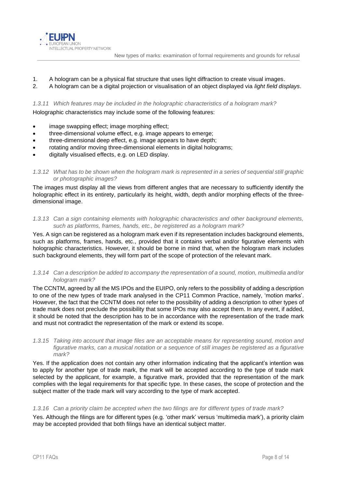

- 1. A hologram can be a physical flat structure that uses light diffraction to create visual images.
- 2. A hologram can be a digital projection or visualisation of an object displayed via *light field displays*.

<span id="page-7-0"></span>*1.3.11 Which features may be included in the holographic characteristics of a hologram mark?*

Holographic characteristics may include some of the following features:

- image swapping effect; image morphing effect;
- three-dimensional volume effect, e.g. image appears to emerge;
- three-dimensional deep effect, e.g. image appears to have depth;
- rotating and/or moving three-dimensional elements in digital holograms;
- digitally visualised effects, e.g. on LED display.
- <span id="page-7-1"></span>*1.3.12 What has to be shown when the hologram mark is represented in a series of sequential still graphic or photographic images?*

The images must display all the views from different angles that are necessary to sufficiently identify the holographic effect in its entirety, particularly its height, width, depth and/or morphing effects of the threedimensional image.

<span id="page-7-2"></span>*1.3.13 Can a sign containing elements with holographic characteristics and other background elements, such as platforms, frames, hands, etc., be registered as a hologram mark?*

Yes. A sign can be registered as a hologram mark even if its representation includes background elements, such as platforms, frames, hands, etc., provided that it contains verbal and/or figurative elements with holographic characteristics. However, it should be borne in mind that, when the hologram mark includes such background elements, they will form part of the scope of protection of the relevant mark.

<span id="page-7-3"></span>*1.3.14 Can a description be added to accompany the representation of a sound, motion, multimedia and/or hologram mark?*

The CCNTM, agreed by all the MS IPOs and the EUIPO, only refers to the possibility of adding a description to one of the new types of trade mark analysed in the CP11 Common Practice, namely, 'motion marks'. However, the fact that the CCNTM does not refer to the possibility of adding a description to other types of trade mark does not preclude the possibility that some IPOs may also accept them. In any event, if added, it should be noted that the description has to be in accordance with the representation of the trade mark and must not contradict the representation of the mark or extend its scope.

<span id="page-7-4"></span>*1.3.15 Taking into account that image files are an acceptable means for representing sound, motion and figurative marks, can a musical notation or a sequence of still images be registered as a figurative mark?*

Yes. If the application does not contain any other information indicating that the applicant's intention was to apply for another type of trade mark, the mark will be accepted according to the type of trade mark selected by the applicant, for example, a figurative mark, provided that the representation of the mark complies with the legal requirements for that specific type. In these cases, the scope of protection and the subject matter of the trade mark will vary according to the type of mark accepted.

#### <span id="page-7-5"></span>*1.3.16 Can a priority claim be accepted when the two filings are for different types of trade mark?*

Yes. Although the filings are for different types (e.g. 'other mark' versus 'multimedia mark'), a priority claim may be accepted provided that both filings have an identical subject matter.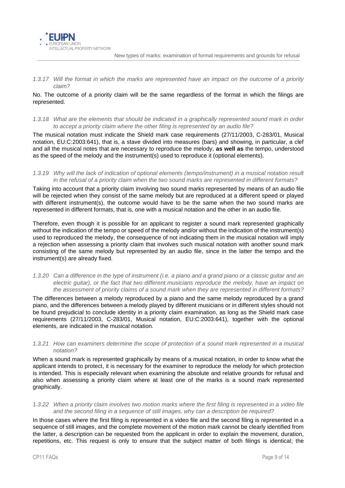

<span id="page-8-0"></span>*1.3.17 Will the format in which the marks are represented have an impact on the outcome of a priority claim?*

No. The outcome of a priority claim will be the same regardless of the format in which the filings are represented.

<span id="page-8-1"></span>*1.3.18 What are the elements that should be indicated in a graphically represented sound mark in order to accept a priority claim where the other filing is represented by an audio file?*

The musical notation must indicate the Shield mark case requirements (27/11/2003, C-283/01, Musical notation, EU:C:2003:641), that is, a stave divided into measures (bars) and showing, in particular, a clef and all the musical notes that are necessary to reproduce the melody, **as well as** the tempo, understood as the speed of the melody and the instrument(s) used to reproduce it (optional elements).

<span id="page-8-2"></span>*1.3.19 Why will the lack of indication of optional elements (tempo/instrument) in a musical notation result in the refusal of a priority claim when the two sound marks are represented in different formats?*

Taking into account that a priority claim involving two sound marks represented by means of an audio file will be rejected when they consist of the same melody but are reproduced at a different speed or played with different instrument(s), the outcome would have to be the same when the two sound marks are represented in different formats, that is, one with a musical notation and the other in an audio file.

Therefore, even though it is possible for an applicant to register a sound mark represented graphically without the indication of the tempo or speed of the melody and/or without the indication of the instrument(s) used to reproduced the melody, the consequence of not indicating them in the musical notation will imply a rejection when assessing a priority claim that involves such musical notation with another sound mark consisting of the same melody but represented by an audio file, since in the latter the tempo and the instrument(s) are already fixed.

<span id="page-8-3"></span>*1.3.20 Can a difference in the type of instrument (i.e. a piano and a grand piano or a classic guitar and an electric guitar), or the fact that two different musicians reproduce the melody, have an impact on the assessment of priority claims of a sound mark when they are represented in different formats?*

The differences between a melody reproduced by a piano and the same melody reproduced by a grand piano, and the differences between a melody played by different musicians or in different styles should not be found prejudicial to conclude identity in a priority claim examination, as long as the Shield mark case requirements (27/11/2003, C-283/01, Musical notation, EU:C:2003:641), together with the optional elements, are indicated in the musical notation.

#### <span id="page-8-4"></span>*1.3.21 How can examiners determine the scope of protection of a sound mark represented in a musical notation?*

When a sound mark is represented graphically by means of a musical notation, in order to know what the applicant intends to protect, it is necessary for the examiner to reproduce the melody for which protection is intended. This is especially relevant when examining the absolute and relative grounds for refusal and also when assessing a priority claim where at least one of the marks is a sound mark represented graphically.

<span id="page-8-5"></span>*1.3.22 When a priority claim involves two motion marks where the first filing is represented in a video file and the second filing in a sequence of still images, why can a description be required?*

In those cases where the first filing is represented in a video file and the second filing is represented in a sequence of still images, and the complete movement of the motion mark cannot be clearly identified from the latter, a description can be requested from the applicant in order to explain the movement, duration, repetitions, etc. This request is only to ensure that the subject matter of both filings is identical; the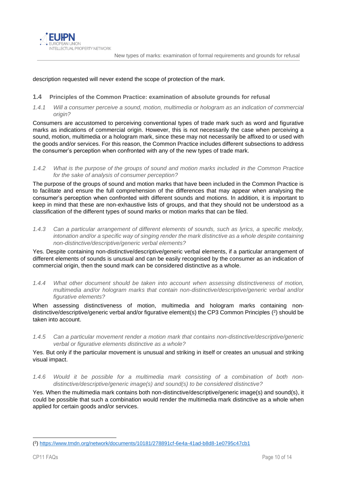

#### description requested will never extend the scope of protection of the mark.

### <span id="page-9-0"></span>**1.4 Principles of the Common Practice: examination of absolute grounds for refusal**

<span id="page-9-1"></span>*1.4.1 Will a consumer perceive a sound, motion, multimedia or hologram as an indication of commercial origin?*

Consumers are accustomed to perceiving conventional types of trade mark such as word and figurative marks as indications of commercial origin. However, this is not necessarily the case when perceiving a sound, motion, multimedia or a hologram mark, since these may not necessarily be affixed to or used with the goods and/or services. For this reason, the Common Practice includes different subsections to address the consumer's perception when confronted with any of the new types of trade mark.

<span id="page-9-2"></span>*1.4.2 What is the purpose of the groups of sound and motion marks included in the Common Practice for the sake of analysis of consumer perception?*

The purpose of the groups of sound and motion marks that have been included in the Common Practice is to facilitate and ensure the full comprehension of the differences that may appear when analysing the consumer's perception when confronted with different sounds and motions. In addition, it is important to keep in mind that these are non-exhaustive lists of groups, and that they should not be understood as a classification of the different types of sound marks or motion marks that can be filed.

<span id="page-9-3"></span>*1.4.3 Can a particular arrangement of different elements of sounds, such as lyrics, a specific melody, intonation and/or a specific way of singing render the mark distinctive as a whole despite containing non-distinctive/descriptive/generic verbal elements?*

Yes. Despite containing non-distinctive/descriptive/generic verbal elements, if a particular arrangement of different elements of sounds is unusual and can be easily recognised by the consumer as an indication of commercial origin, then the sound mark can be considered distinctive as a whole.

<span id="page-9-4"></span>*1.4.4 What other document should be taken into account when assessing distinctiveness of motion, multimedia and/or hologram marks that contain non-distinctive/descriptive/generic verbal and/or figurative elements?*

When assessing distinctiveness of motion, multimedia and hologram marks containing nondistinctive/descriptive/generic verbal and/or figurative element(s) the CP3 Common Principles (<sup>2</sup>) should be taken into account.

<span id="page-9-5"></span>*1.4.5 Can a particular movement render a motion mark that contains non-distinctive/descriptive/generic verbal or figurative elements distinctive as a whole?*

Yes. But only if the particular movement is unusual and striking in itself or creates an unusual and striking visual impact.

<span id="page-9-6"></span>*1.4.6 Would it be possible for a multimedia mark consisting of a combination of both nondistinctive/descriptive/generic image(s) and sound(s) to be considered distinctive?*

Yes. When the multimedia mark contains both non-distinctive/descriptive/generic image(s) and sound(s), it could be possible that such a combination would render the multimedia mark distinctive as a whole when applied for certain goods and/or services.

<sup>(</sup> 2 [\) https://www.tmdn.org/network/documents/10181/278891cf-6e4a-41ad-b8d8-1e0795c47cb1](https://www.tmdn.org/network/documents/10181/278891cf-6e4a-41ad-b8d8-1e0795c47cb1)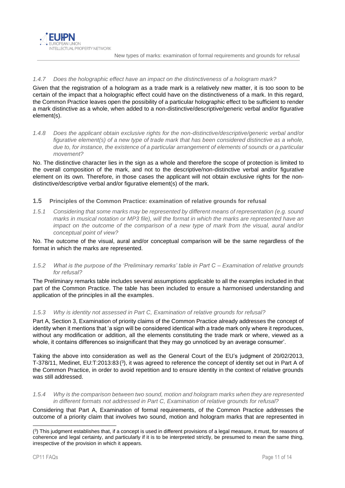# <span id="page-10-0"></span>*1.4.7 Does the holographic effect have an impact on the distinctiveness of a hologram mark?*

Given that the registration of a hologram as a trade mark is a relatively new matter, it is too soon to be certain of the impact that a holographic effect could have on the distinctiveness of a mark. In this regard, the Common Practice leaves open the possibility of a particular holographic effect to be sufficient to render a mark distinctive as a whole, when added to a non-distinctive/descriptive/generic verbal and/or figurative element(s).

<span id="page-10-1"></span>*1.4.8 Does the applicant obtain exclusive rights for the non-distinctive/descriptive/generic verbal and/or*  figurative element(s) of a new type of trade mark that has been considered distinctive as a whole, *due to, for instance, the existence of a particular arrangement of elements of sounds or a particular movement?*

No. The distinctive character lies in the sign as a whole and therefore the scope of protection is limited to the overall composition of the mark, and not to the descriptive/non-distinctive verbal and/or figurative element on its own. Therefore, in those cases the applicant will not obtain exclusive rights for the nondistinctive/descriptive verbal and/or figurative element(s) of the mark.

# <span id="page-10-2"></span>**1.5 Principles of the Common Practice: examination of relative grounds for refusal**

<span id="page-10-3"></span>*1.5.1 Considering that some marks may be represented by different means of representation (e.g. sound marks in musical notation or MP3 file), will the format in which the marks are represented have an impact on the outcome of the comparison of a new type of mark from the visual, aural and/or conceptual point of view?*

No. The outcome of the visual, aural and/or conceptual comparison will be the same regardless of the format in which the marks are represented.

<span id="page-10-4"></span>*1.5.2 What is the purpose of the 'Preliminary remarks' table in Part C – Examination of relative grounds for refusal?*

The Preliminary remarks table includes several assumptions applicable to all the examples included in that part of the Common Practice. The table has been included to ensure a harmonised understanding and application of the principles in all the examples.

#### <span id="page-10-5"></span>*1.5.3 Why is identity not assessed in Part C, Examination of relative grounds for refusal?*

Part A, Section 3, Examination of priority claims of the Common Practice already addresses the concept of identity when it mentions that 'a sign will be considered identical with a trade mark only where it reproduces, without any modification or addition, all the elements constituting the trade mark or where, viewed as a whole, it contains differences so insignificant that they may go unnoticed by an average consumer'.

Taking the above into consideration as well as the General Court of the EU's judgment of 20/02/2013, T-378/11, Medinet, EU:T:2013:83 (<sup>3</sup>), it was agreed to reference the concept of identity set out in Part A of the Common Practice, in order to avoid repetition and to ensure identity in the context of relative grounds was still addressed.

<span id="page-10-6"></span>*1.5.4 Why is the comparison between two sound, motion and hologram marks when they are represented in different formats not addressed in Part C, Examination of relative grounds for refusal?*

Considering that Part A, Examination of formal requirements, of the Common Practice addresses the outcome of a priority claim that involves two sound, motion and hologram marks that are represented in

<sup>(</sup> 3 ) This judgment establishes that, if a concept is used in different provisions of a legal measure, it must, for reasons of coherence and legal certainty, and particularly if it is to be interpreted strictly, be presumed to mean the same thing, irrespective of the provision in which it appears.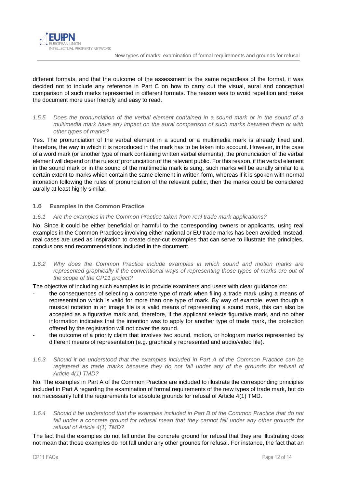different formats, and that the outcome of the assessment is the same regardless of the format, it was decided not to include any reference in Part C on how to carry out the visual, aural and conceptual comparison of such marks represented in different formats. The reason was to avoid repetition and make the document more user friendly and easy to read.

<span id="page-11-0"></span>*1.5.5 Does the pronunciation of the verbal element contained in a sound mark or in the sound of a multimedia mark have any impact on the aural comparison of such marks between them or with other types of marks?*

Yes. The pronunciation of the verbal element in a sound or a multimedia mark is already fixed and, therefore, the way in which it is reproduced in the mark has to be taken into account. However, in the case of a word mark (or another type of mark containing written verbal elements), the pronunciation of the verbal element will depend on the rules of pronunciation of the relevant public. For this reason, if the verbal element in the sound mark or in the sound of the multimedia mark is sung, such marks will be aurally similar to a certain extent to marks which contain the same element in written form, whereas if it is spoken with normal intonation following the rules of pronunciation of the relevant public, then the marks could be considered aurally at least highly similar.

# <span id="page-11-1"></span>**1.6 Examples in the Common Practice**

# <span id="page-11-2"></span>*1.6.1 Are the examples in the Common Practice taken from real trade mark applications?*

No. Since it could be either beneficial or harmful to the corresponding owners or applicants, using real examples in the Common Practices involving either national or EU trade marks has been avoided. Instead, real cases are used as inspiration to create clear-cut examples that can serve to illustrate the principles, conclusions and recommendations included in the document.

<span id="page-11-3"></span>*1.6.2 Why does the Common Practice include examples in which sound and motion marks are*  represented graphically if the conventional ways of representing those types of marks are out of *the scope of the CP11 project?*

The objective of including such examples is to provide examiners and users with clear guidance on:

- the consequences of selecting a concrete type of mark when filing a trade mark using a means of representation which is valid for more than one type of mark. By way of example, even though a musical notation in an image file is a valid means of representing a sound mark, this can also be accepted as a figurative mark and, therefore, if the applicant selects figurative mark, and no other information indicates that the intention was to apply for another type of trade mark, the protection offered by the registration will not cover the sound.
- the outcome of a priority claim that involves two sound, motion, or hologram marks represented by different means of representation (e.g. graphically represented and audio/video file).
- <span id="page-11-4"></span>*1.6.3 Should it be understood that the examples included in Part A of the Common Practice can be registered as trade marks because they do not fall under any of the grounds for refusal of Article 4(1) TMD?*

No. The examples in Part A of the Common Practice are included to illustrate the corresponding principles included in Part A regarding the examination of formal requirements of the new types of trade mark, but do not necessarily fulfil the requirements for absolute grounds for refusal of Article 4(1) TMD.

<span id="page-11-5"></span>*1.6.4 Should it be understood that the examples included in Part B of the Common Practice that do not fall under a concrete ground for refusal mean that they cannot fall under any other grounds for refusal of Article 4(1) TMD?*

The fact that the examples do not fall under the concrete ground for refusal that they are illustrating does not mean that those examples do not fall under any other grounds for refusal. For instance, the fact that an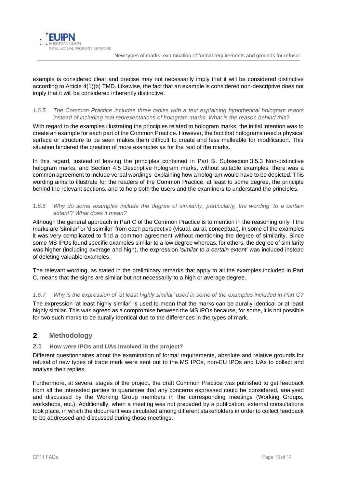

example is considered clear and precise may not necessarily imply that it will be considered distinctive according to Article 4(1)(b) TMD. Likewise, the fact that an example is considered non-descriptive does not imply that it will be considered inherently distinctive.

# <span id="page-12-0"></span>*1.6.5 The Common Practice includes three tables with a text explaining hypothetical hologram marks instead of including real representations of hologram marks. What is the reason behind this?*

With regard to the examples illustrating the principles related to hologram marks, the initial intention was to create an example for each part of the Common Practice. However, the fact that holograms need a physical surface or structure to be seen makes them difficult to create and less malleable for modification. This situation hindered the creation of more examples as for the rest of the marks.

In this regard, instead of leaving the principles contained in Part B. Subsection 3.5.3 Non-distinctive hologram marks, and Section 4.5 Descriptive hologram marks, without suitable examples, there was a common agreement to include verbal wordings explaining how a hologram would have to be depicted. This wording aims to illustrate for the readers of the Common Practice, at least to some degree, the principle behind the relevant sections, and to help both the users and the examiners to understand the principles.

# <span id="page-12-1"></span>*1.6.6 Why do some examples include the degree of similarity, particularly, the wording 'to a certain extent'? What does it mean?*

Although the general approach in Part C of the Common Practice is to mention in the reasoning only if the marks are 'similar' or 'dissimilar' from each perspective (visual, aural, conceptual), in some of the examples it was very complicated to find a common agreement without mentioning the degree of similarity. Since some MS IPOs found specific examples similar to a low degree whereas, for others, the degree of similarity was higher (including average and high), the expression '*similar to a certain extent*' was included instead of deleting valuable examples.

The relevant wording, as stated in the preliminary remarks that apply to all the examples included in Part C, means that the signs are similar but not necessarily to a high or average degree.

# <span id="page-12-2"></span>*1.6.7 Why is the expression of 'at least highly similar' used in some of the examples included in Part C?*

The expression 'at least highly similar' is used to mean that the marks can be aurally identical or at least highly similar. This was agreed as a compromise between the MS IPOs because, for some, it is not possible for two such marks to be aurally identical due to the differences in the types of mark.

#### <span id="page-12-3"></span> $\overline{2}$ **Methodology**

# <span id="page-12-4"></span>**2.1 How were IPOs and UAs involved in the project?**

Different questionnaires about the examination of formal requirements, absolute and relative grounds for refusal of new types of trade mark were sent out to the MS IPOs, non-EU IPOs and UAs to collect and analyse their replies.

Furthermore, at several stages of the project, the draft Common Practice was published to get feedback from all the interested parties to guarantee that any concerns expressed could be considered, analysed and discussed by the Working Group members in the corresponding meetings (Working Groups, workshops, etc.). Additionally, when a meeting was not preceded by a publication, external consultations took place, in which the document was circulated among different stakeholders in order to collect feedback to be addressed and discussed during those meetings.